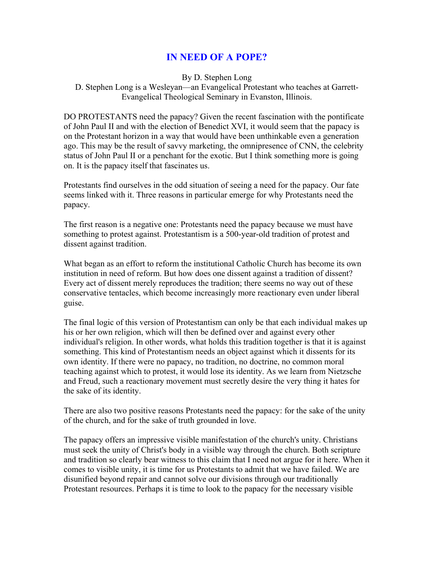## **IN NEED OF A POPE?**

By D. Stephen Long D. Stephen Long is a Wesleyan—an Evangelical Protestant who teaches at Garrett-Evangelical Theological Seminary in Evanston, Illinois.

DO PROTESTANTS need the papacy? Given the recent fascination with the pontificate of John Paul II and with the election of Benedict XVI, it would seem that the papacy is on the Protestant horizon in a way that would have been unthinkable even a generation ago. This may be the result of savvy marketing, the omnipresence of CNN, the celebrity status of John Paul II or a penchant for the exotic. But I think something more is going on. It is the papacy itself that fascinates us.

Protestants find ourselves in the odd situation of seeing a need for the papacy. Our fate seems linked with it. Three reasons in particular emerge for why Protestants need the papacy.

The first reason is a negative one: Protestants need the papacy because we must have something to protest against. Protestantism is a 500-year-old tradition of protest and dissent against tradition.

What began as an effort to reform the institutional Catholic Church has become its own institution in need of reform. But how does one dissent against a tradition of dissent? Every act of dissent merely reproduces the tradition; there seems no way out of these conservative tentacles, which become increasingly more reactionary even under liberal guise.

The final logic of this version of Protestantism can only be that each individual makes up his or her own religion, which will then be defined over and against every other individual's religion. In other words, what holds this tradition together is that it is against something. This kind of Protestantism needs an object against which it dissents for its own identity. If there were no papacy, no tradition, no doctrine, no common moral teaching against which to protest, it would lose its identity. As we learn from Nietzsche and Freud, such a reactionary movement must secretly desire the very thing it hates for the sake of its identity.

There are also two positive reasons Protestants need the papacy: for the sake of the unity of the church, and for the sake of truth grounded in love.

The papacy offers an impressive visible manifestation of the church's unity. Christians must seek the unity of Christ's body in a visible way through the church. Both scripture and tradition so clearly bear witness to this claim that I need not argue for it here. When it comes to visible unity, it is time for us Protestants to admit that we have failed. We are disunified beyond repair and cannot solve our divisions through our traditionally Protestant resources. Perhaps it is time to look to the papacy for the necessary visible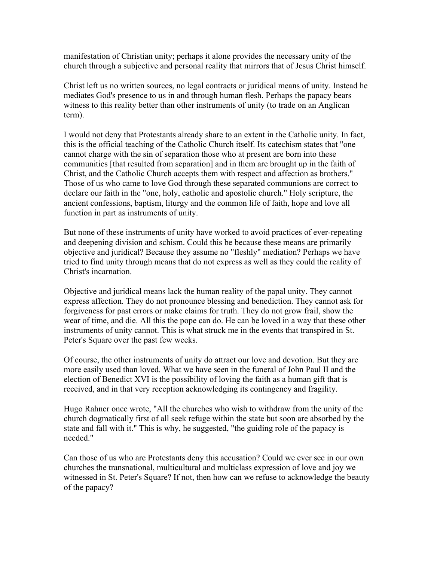manifestation of Christian unity; perhaps it alone provides the necessary unity of the church through a subjective and personal reality that mirrors that of Jesus Christ himself.

Christ left us no written sources, no legal contracts or juridical means of unity. Instead he mediates God's presence to us in and through human flesh. Perhaps the papacy bears witness to this reality better than other instruments of unity (to trade on an Anglican term).

I would not deny that Protestants already share to an extent in the Catholic unity. In fact, this is the official teaching of the Catholic Church itself. Its catechism states that "one cannot charge with the sin of separation those who at present are born into these communities [that resulted from separation] and in them are brought up in the faith of Christ, and the Catholic Church accepts them with respect and affection as brothers." Those of us who came to love God through these separated communions are correct to declare our faith in the "one, holy, catholic and apostolic church." Holy scripture, the ancient confessions, baptism, liturgy and the common life of faith, hope and love all function in part as instruments of unity.

But none of these instruments of unity have worked to avoid practices of ever-repeating and deepening division and schism. Could this be because these means are primarily objective and juridical? Because they assume no "fleshly" mediation? Perhaps we have tried to find unity through means that do not express as well as they could the reality of Christ's incarnation.

Objective and juridical means lack the human reality of the papal unity. They cannot express affection. They do not pronounce blessing and benediction. They cannot ask for forgiveness for past errors or make claims for truth. They do not grow frail, show the wear of time, and die. All this the pope can do. He can be loved in a way that these other instruments of unity cannot. This is what struck me in the events that transpired in St. Peter's Square over the past few weeks.

Of course, the other instruments of unity do attract our love and devotion. But they are more easily used than loved. What we have seen in the funeral of John Paul II and the election of Benedict XVI is the possibility of loving the faith as a human gift that is received, and in that very reception acknowledging its contingency and fragility.

Hugo Rahner once wrote, "All the churches who wish to withdraw from the unity of the church dogmatically first of all seek refuge within the state but soon are absorbed by the state and fall with it." This is why, he suggested, "the guiding role of the papacy is needed."

Can those of us who are Protestants deny this accusation? Could we ever see in our own churches the transnational, multicultural and multiclass expression of love and joy we witnessed in St. Peter's Square? If not, then how can we refuse to acknowledge the beauty of the papacy?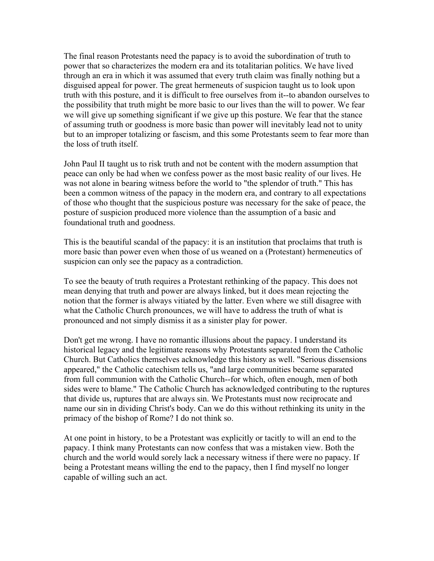The final reason Protestants need the papacy is to avoid the subordination of truth to power that so characterizes the modern era and its totalitarian politics. We have lived through an era in which it was assumed that every truth claim was finally nothing but a disguised appeal for power. The great hermeneuts of suspicion taught us to look upon truth with this posture, and it is difficult to free ourselves from it--to abandon ourselves to the possibility that truth might be more basic to our lives than the will to power. We fear we will give up something significant if we give up this posture. We fear that the stance of assuming truth or goodness is more basic than power will inevitably lead not to unity but to an improper totalizing or fascism, and this some Protestants seem to fear more than the loss of truth itself.

John Paul II taught us to risk truth and not be content with the modern assumption that peace can only be had when we confess power as the most basic reality of our lives. He was not alone in bearing witness before the world to "the splendor of truth." This has been a common witness of the papacy in the modern era, and contrary to all expectations of those who thought that the suspicious posture was necessary for the sake of peace, the posture of suspicion produced more violence than the assumption of a basic and foundational truth and goodness.

This is the beautiful scandal of the papacy: it is an institution that proclaims that truth is more basic than power even when those of us weaned on a (Protestant) hermeneutics of suspicion can only see the papacy as a contradiction.

To see the beauty of truth requires a Protestant rethinking of the papacy. This does not mean denying that truth and power are always linked, but it does mean rejecting the notion that the former is always vitiated by the latter. Even where we still disagree with what the Catholic Church pronounces, we will have to address the truth of what is pronounced and not simply dismiss it as a sinister play for power.

Don't get me wrong. I have no romantic illusions about the papacy. I understand its historical legacy and the legitimate reasons why Protestants separated from the Catholic Church. But Catholics themselves acknowledge this history as well. "Serious dissensions appeared," the Catholic catechism tells us, "and large communities became separated from full communion with the Catholic Church--for which, often enough, men of both sides were to blame." The Catholic Church has acknowledged contributing to the ruptures that divide us, ruptures that are always sin. We Protestants must now reciprocate and name our sin in dividing Christ's body. Can we do this without rethinking its unity in the primacy of the bishop of Rome? I do not think so.

At one point in history, to be a Protestant was explicitly or tacitly to will an end to the papacy. I think many Protestants can now confess that was a mistaken view. Both the church and the world would sorely lack a necessary witness if there were no papacy. If being a Protestant means willing the end to the papacy, then I find myself no longer capable of willing such an act.